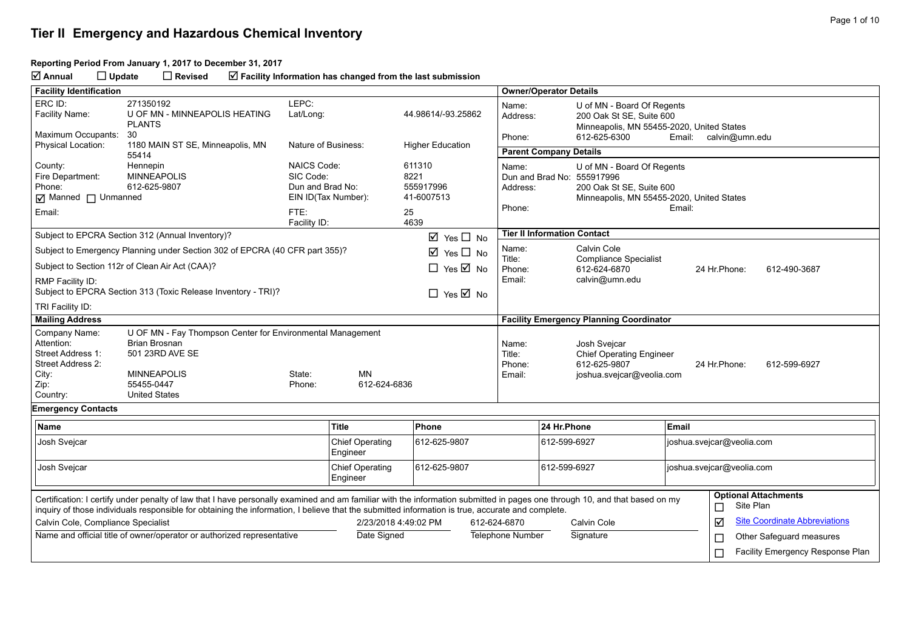#### **Reporting Period From January 1, 2017 to December 31, 2017**

**Annual Update Revised Facility Information has changed from the last submission**

| <b>Facility Identification</b>                                                                     |                                                                                                                                                                                                                                                                                                                                |                                                             |                                    |                                                         |              | <b>Owner/Operator Details</b>       |                                                        |                                                                                                                                   |                           |              |                                          |
|----------------------------------------------------------------------------------------------------|--------------------------------------------------------------------------------------------------------------------------------------------------------------------------------------------------------------------------------------------------------------------------------------------------------------------------------|-------------------------------------------------------------|------------------------------------|---------------------------------------------------------|--------------|-------------------------------------|--------------------------------------------------------|-----------------------------------------------------------------------------------------------------------------------------------|---------------------------|--------------|------------------------------------------|
| ERC ID:<br>Facility Name:                                                                          | 271350192<br>U OF MN - MINNEAPOLIS HEATING<br><b>PLANTS</b>                                                                                                                                                                                                                                                                    | LEPC:<br>Lat/Long:                                          |                                    | 44.98614/-93.25862                                      |              | Name:<br>Address:                   | U of MN - Board Of Regents<br>200 Oak St SE, Suite 600 |                                                                                                                                   |                           |              |                                          |
| Maximum Occupants:<br>Physical Location:                                                           | 30<br>1180 MAIN ST SE, Minneapolis, MN                                                                                                                                                                                                                                                                                         | Nature of Business:                                         |                                    |                                                         |              | Phone:                              |                                                        | Minneapolis, MN 55455-2020, United States<br>612-625-6300<br>calvin@umn.edu<br>Email:                                             |                           |              |                                          |
|                                                                                                    | 55414                                                                                                                                                                                                                                                                                                                          |                                                             |                                    | <b>Higher Education</b>                                 |              | <b>Parent Company Details</b>       |                                                        |                                                                                                                                   |                           |              |                                          |
| County:<br>Fire Department:<br>Phone:<br>Manned I Unmanned<br>Email:                               | Hennepin<br><b>MINNEAPOLIS</b><br>612-625-9807                                                                                                                                                                                                                                                                                 | <b>NAICS Code:</b><br>SIC Code:<br>Dun and Brad No:<br>FTE: | EIN ID(Tax Number):                | 611310<br>8221<br>555917996<br>41-6007513<br>25<br>4639 |              | Name:<br>Address:<br>Phone:         |                                                        | U of MN - Board Of Regents<br>Dun and Brad No: 555917996<br>200 Oak St SE, Suite 600<br>Minneapolis, MN 55455-2020, United States | Email:                    |              |                                          |
|                                                                                                    | Subject to EPCRA Section 312 (Annual Inventory)?                                                                                                                                                                                                                                                                               | Facility ID:                                                |                                    | $\boxtimes$ Yes $\square$ No                            |              | <b>Tier II Information Contact</b>  |                                                        |                                                                                                                                   |                           |              |                                          |
|                                                                                                    | Subject to Emergency Planning under Section 302 of EPCRA (40 CFR part 355)?                                                                                                                                                                                                                                                    |                                                             |                                    | ☑<br>Yes $\Box$ No                                      |              | Name:                               |                                                        | Calvin Cole                                                                                                                       |                           |              |                                          |
|                                                                                                    | Subject to Section 112r of Clean Air Act (CAA)?                                                                                                                                                                                                                                                                                |                                                             |                                    | $\Box$ Yes $\overline{\boxtimes}$ No                    |              | Title:<br>Phone:                    |                                                        | <b>Compliance Specialist</b><br>612-624-6870                                                                                      |                           | 24 Hr.Phone: | 612-490-3687                             |
| RMP Facility ID:                                                                                   | Subject to EPCRA Section 313 (Toxic Release Inventory - TRI)?                                                                                                                                                                                                                                                                  |                                                             |                                    | $\Box$ Yes $\overline{\boxtimes}$ No                    |              | Email:                              |                                                        | calvin@umn.edu                                                                                                                    |                           |              |                                          |
| TRI Facility ID:                                                                                   |                                                                                                                                                                                                                                                                                                                                |                                                             |                                    |                                                         |              |                                     |                                                        |                                                                                                                                   |                           |              |                                          |
| <b>Mailing Address</b>                                                                             |                                                                                                                                                                                                                                                                                                                                |                                                             |                                    |                                                         |              |                                     |                                                        | <b>Facility Emergency Planning Coordinator</b>                                                                                    |                           |              |                                          |
| Company Name:<br>Attention:<br>Street Address 1:<br>Street Address 2:<br>City:<br>Zip:<br>Country: | U OF MN - Fay Thompson Center for Environmental Management<br><b>Brian Brosnan</b><br>501 23RD AVE SE<br><b>MINNEAPOLIS</b><br>55455-0447<br><b>United States</b>                                                                                                                                                              | State:<br>Phone:                                            | <b>MN</b><br>612-624-6836          |                                                         |              | Name:<br>Title:<br>Phone:<br>Email: |                                                        | Josh Sveicar<br><b>Chief Operating Engineer</b><br>612-625-9807<br>joshua.svejcar@veolia.com                                      |                           | 24 Hr.Phone: | 612-599-6927                             |
| <b>Emergency Contacts</b>                                                                          |                                                                                                                                                                                                                                                                                                                                |                                                             |                                    |                                                         |              |                                     |                                                        |                                                                                                                                   |                           |              |                                          |
| <b>Name</b>                                                                                        |                                                                                                                                                                                                                                                                                                                                |                                                             | <b>Title</b>                       | Phone                                                   |              |                                     | 24 Hr.Phone                                            |                                                                                                                                   | Email                     |              |                                          |
| Josh Svejcar<br><b>Chief Operating</b><br>Engineer                                                 |                                                                                                                                                                                                                                                                                                                                | 612-625-9807                                                |                                    | 612-599-6927                                            |              | joshua.svejcar@veolia.com           |                                                        |                                                                                                                                   |                           |              |                                          |
| Josh Svejcar                                                                                       |                                                                                                                                                                                                                                                                                                                                |                                                             | <b>Chief Operating</b><br>Engineer | 612-625-9807                                            |              |                                     | 612-599-6927                                           |                                                                                                                                   | joshua.svejcar@veolia.com |              |                                          |
|                                                                                                    | Certification: I certify under penalty of law that I have personally examined and am familiar with the information submitted in pages one through 10, and that based on my<br>inquiry of those individuals responsible for obtaining the information, I believe that the submitted information is true, accurate and complete. |                                                             |                                    |                                                         |              |                                     |                                                        |                                                                                                                                   |                           | $\Box$       | <b>Optional Attachments</b><br>Site Plan |
| Calvin Cole, Compliance Specialist                                                                 |                                                                                                                                                                                                                                                                                                                                |                                                             |                                    | 2/23/2018 4:49:02 PM                                    | 612-624-6870 |                                     |                                                        | Calvin Cole                                                                                                                       |                           | ☑            | <b>Site Coordinate Abbreviations</b>     |
|                                                                                                    | Name and official title of owner/operator or authorized representative                                                                                                                                                                                                                                                         |                                                             | Date Signed                        |                                                         |              | Telephone Number                    |                                                        | Signature                                                                                                                         |                           | $\Box$       | Other Safeguard measures                 |
|                                                                                                    |                                                                                                                                                                                                                                                                                                                                |                                                             |                                    |                                                         |              |                                     |                                                        |                                                                                                                                   |                           | ⊏            | Facility Emergency Response Plan         |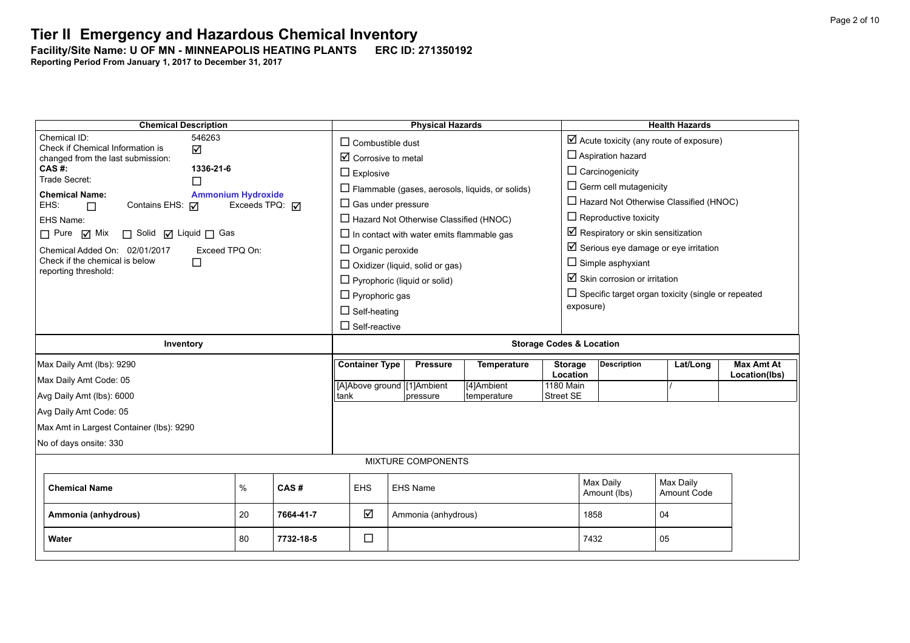### **Tier II Emergency and Hazardous Chemical Inventory** Facility/Site Name: U OF MN - MINNEAPOLIS HEATING PLANTS **-----------------------**

| <b>Chemical Description</b>                                      |                                     |                         | <b>Physical Hazards</b>                                |                    |                                     |                                                    | <b>Health Hazards</b>                                     |                   |  |  |
|------------------------------------------------------------------|-------------------------------------|-------------------------|--------------------------------------------------------|--------------------|-------------------------------------|----------------------------------------------------|-----------------------------------------------------------|-------------------|--|--|
| Chemical ID:<br>546263<br>Check if Chemical Information is       |                                     |                         | $\Box$ Combustible dust                                |                    |                                     | $\boxtimes$ Acute toxicity (any route of exposure) |                                                           |                   |  |  |
| changed from the last submission:                                | ☑<br>$\boxtimes$ Corrosive to metal |                         |                                                        |                    |                                     | $\Box$ Aspiration hazard                           |                                                           |                   |  |  |
| $CAS$ #:<br>1336-21-6<br>Trade Secret:                           |                                     | $\Box$ Explosive        |                                                        |                    |                                     | $\Box$ Carcinogenicity                             |                                                           |                   |  |  |
| П<br><b>Chemical Name:</b>                                       |                                     |                         | $\Box$ Flammable (gases, aerosols, liquids, or solids) |                    |                                     | $\Box$ Germ cell mutagenicity                      |                                                           |                   |  |  |
| <b>Ammonium Hydroxide</b><br>Contains EHS: <b>√</b><br>EHS:<br>П | Exceeds TPQ: <b>○</b>               |                         | $\Box$ Gas under pressure                              |                    |                                     |                                                    | $\Box$ Hazard Not Otherwise Classified (HNOC)             |                   |  |  |
| EHS Name:                                                        |                                     |                         | $\Box$ Hazard Not Otherwise Classified (HNOC)          |                    |                                     | $\Box$ Reproductive toxicity                       |                                                           |                   |  |  |
| $\Box$ Pure $\Box$ Mix<br>□ Solid □ Liquid □ Gas                 |                                     |                         | $\Box$ In contact with water emits flammable gas       |                    |                                     | $\boxtimes$ Respiratory or skin sensitization      |                                                           |                   |  |  |
| Exceed TPO On:<br>Chemical Added On: 02/01/2017                  |                                     | $\Box$ Organic peroxide |                                                        |                    |                                     |                                                    | $\boxtimes$ Serious eye damage or eye irritation          |                   |  |  |
| Check if the chemical is below<br>П                              |                                     |                         | $\Box$ Oxidizer (liquid, solid or gas)                 |                    |                                     | $\Box$ Simple asphyxiant                           |                                                           |                   |  |  |
| reporting threshold:                                             |                                     |                         | $\Box$ Pyrophoric (liquid or solid)                    |                    |                                     | $\boxtimes$ Skin corrosion or irritation           |                                                           |                   |  |  |
|                                                                  |                                     |                         | $\Box$ Pyrophoric gas                                  |                    |                                     |                                                    | $\Box$ Specific target organ toxicity (single or repeated |                   |  |  |
|                                                                  |                                     | $\Box$ Self-heating     |                                                        |                    |                                     | exposure)                                          |                                                           |                   |  |  |
|                                                                  |                                     | $\Box$ Self-reactive    |                                                        |                    |                                     |                                                    |                                                           |                   |  |  |
| Inventory                                                        |                                     |                         |                                                        |                    | <b>Storage Codes &amp; Location</b> |                                                    |                                                           |                   |  |  |
| Max Daily Amt (lbs): 9290                                        |                                     | <b>Container Type</b>   | <b>Pressure</b>                                        | <b>Temperature</b> | <b>Storage</b>                      | <b>Description</b>                                 | Lat/Long                                                  | <b>Max Amt At</b> |  |  |
| Max Daily Amt Code: 05                                           |                                     |                         | [A]Above ground [1]Ambient                             | [4]Ambient         | Location<br>1180 Main               |                                                    |                                                           | Location(lbs)     |  |  |
| Avg Daily Amt (lbs): 6000                                        |                                     | tank                    | pressure                                               | temperature        | <b>Street SE</b>                    |                                                    |                                                           |                   |  |  |
| Avg Daily Amt Code: 05                                           |                                     |                         |                                                        |                    |                                     |                                                    |                                                           |                   |  |  |
| Max Amt in Largest Container (lbs): 9290                         |                                     |                         |                                                        |                    |                                     |                                                    |                                                           |                   |  |  |
| No of days onsite: 330                                           |                                     |                         |                                                        |                    |                                     |                                                    |                                                           |                   |  |  |
| <b>MIXTURE COMPONENTS</b>                                        |                                     |                         |                                                        |                    |                                     |                                                    |                                                           |                   |  |  |
| <b>Chemical Name</b>                                             | $\%$<br>CAS#                        | <b>EHS</b>              | <b>EHS Name</b>                                        |                    |                                     | Max Daily<br>Amount (lbs)                          | Max Daily<br>Amount Code                                  |                   |  |  |
| Ammonia (anhydrous)                                              | 20<br>7664-41-7                     | ☑                       | Ammonia (anhydrous)                                    |                    | 1858                                |                                                    | 04                                                        |                   |  |  |
| Water                                                            | 80<br>7732-18-5                     | $\Box$                  |                                                        |                    | 7432                                |                                                    | 05                                                        |                   |  |  |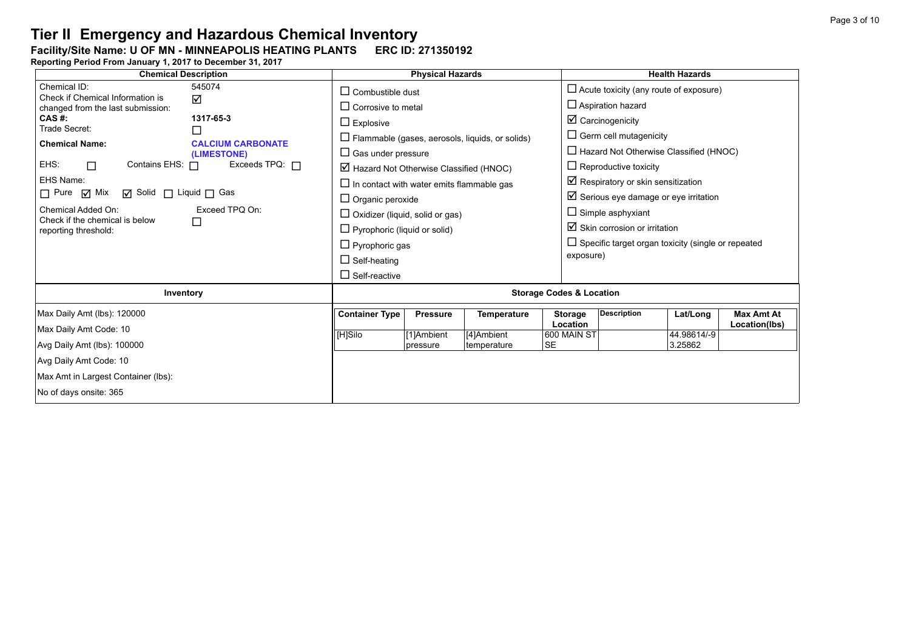### Facility/Site Name: U OF MN - MINNEAPOLIS HEATING PLANTS **-----------------------**

| <b>Chemical Description</b>                                                 | <b>Physical Hazards</b>                                        | <b>Health Hazards</b>                                                 |  |  |  |  |  |
|-----------------------------------------------------------------------------|----------------------------------------------------------------|-----------------------------------------------------------------------|--|--|--|--|--|
| 545074<br>Chemical ID:<br>Check if Chemical Information is                  | $\Box$ Combustible dust                                        | $\Box$ Acute toxicity (any route of exposure)                         |  |  |  |  |  |
| ☑<br>changed from the last submission:                                      | $\Box$ Corrosive to metal                                      | $\Box$ Aspiration hazard                                              |  |  |  |  |  |
| CAS #:<br>1317-65-3<br>Trade Secret:                                        | $\Box$ Explosive                                               | $\boxtimes$ Carcinogenicity                                           |  |  |  |  |  |
| $\Box$<br><b>Chemical Name:</b><br><b>CALCIUM CARBONATE</b>                 | $\Box$ Flammable (gases, aerosols, liquids, or solids)         | $\Box$ Germ cell mutagenicity                                         |  |  |  |  |  |
| (LIMESTONE)                                                                 | $\Box$ Gas under pressure                                      | $\Box$ Hazard Not Otherwise Classified (HNOC)                         |  |  |  |  |  |
| EHS:<br>Exceeds TPQ: $\Box$<br>Contains EHS: 0<br>П.                        | $\boxtimes$ Hazard Not Otherwise Classified (HNOC)             | $\Box$ Reproductive toxicity                                          |  |  |  |  |  |
| EHS Name:                                                                   | $\Box$ In contact with water emits flammable gas               | $\boxtimes$ Respiratory or skin sensitization                         |  |  |  |  |  |
| $\Box$ Pure $\Box$ Mix<br><b>Ø</b> Solid □ Liquid □ Gas                     | $\Box$ Organic peroxide                                        | $\boxtimes$ Serious eye damage or eye irritation                      |  |  |  |  |  |
| Chemical Added On:<br>Exceed TPQ On:<br>Check if the chemical is below<br>□ | $\Box$ Oxidizer (liquid, solid or gas)                         | $\Box$ Simple asphyxiant                                              |  |  |  |  |  |
| reporting threshold:                                                        | $\Box$ Pyrophoric (liquid or solid)                            | $\boxtimes$ Skin corrosion or irritation                              |  |  |  |  |  |
|                                                                             | $\Box$ Pyrophoric gas                                          | $\Box$ Specific target organ toxicity (single or repeated             |  |  |  |  |  |
|                                                                             | $\Box$ Self-heating                                            | exposure)                                                             |  |  |  |  |  |
|                                                                             | $\Box$ Self-reactive                                           |                                                                       |  |  |  |  |  |
| Inventory                                                                   |                                                                | <b>Storage Codes &amp; Location</b>                                   |  |  |  |  |  |
| Max Daily Amt (lbs): 120000                                                 | <b>Container Type</b><br><b>Pressure</b><br><b>Temperature</b> | <b>Description</b><br><b>Max Amt At</b><br><b>Storage</b><br>Lat/Long |  |  |  |  |  |
| Max Daily Amt Code: 10                                                      | [H]Silo<br>[4]Ambient<br>[1]Ambient                            | <b>Location</b><br>Location(lbs)<br>44.98614/-9<br>600 MAIN ST        |  |  |  |  |  |
| Avg Daily Amt (lbs): 100000                                                 | <b>SE</b><br>temperature<br>pressure                           | 3.25862                                                               |  |  |  |  |  |
| Avg Daily Amt Code: 10                                                      |                                                                |                                                                       |  |  |  |  |  |
| Max Amt in Largest Container (lbs):                                         |                                                                |                                                                       |  |  |  |  |  |
| No of days onsite: 365                                                      |                                                                |                                                                       |  |  |  |  |  |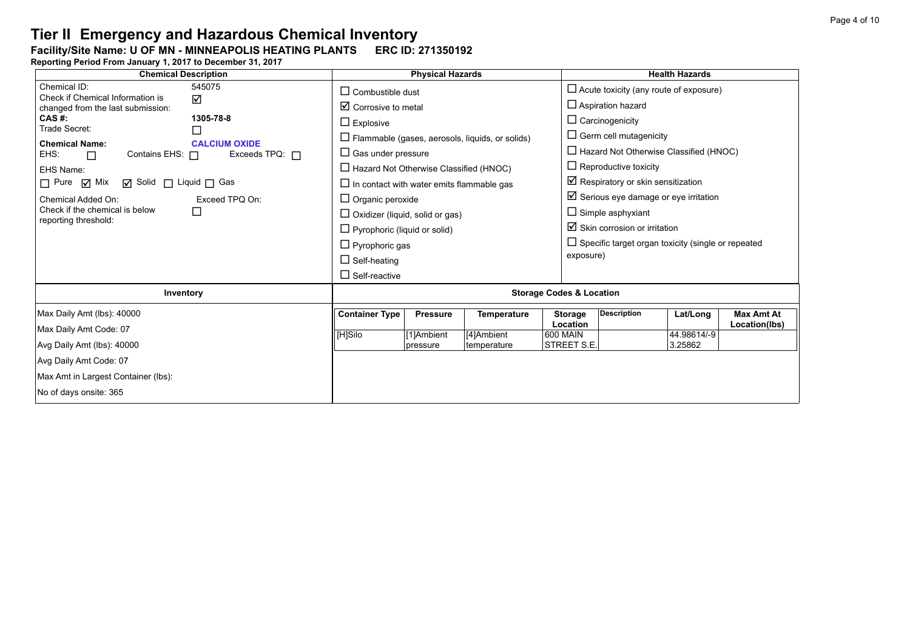### Facility/Site Name: U OF MN - MINNEAPOLIS HEATING PLANTS **-----------------------**

| <b>Chemical Description</b>                                      | <b>Physical Hazards</b>                                        | <b>Health Hazards</b>                                                 |  |  |  |  |
|------------------------------------------------------------------|----------------------------------------------------------------|-----------------------------------------------------------------------|--|--|--|--|
| 545075<br>Chemical ID:<br>Check if Chemical Information is<br>☑  | $\Box$ Combustible dust                                        | $\Box$ Acute toxicity (any route of exposure)                         |  |  |  |  |
| changed from the last submission:                                | $\boxtimes$ Corrosive to metal                                 | $\Box$ Aspiration hazard                                              |  |  |  |  |
| CAS #:<br>1305-78-8<br>Trade Secret:                             | $\Box$ Explosive                                               | $\Box$ Carcinogenicity                                                |  |  |  |  |
| ⊔<br><b>Chemical Name:</b><br><b>CALCIUM OXIDE</b>               | $\Box$ Flammable (gases, aerosols, liquids, or solids)         | $\Box$ Germ cell mutagenicity                                         |  |  |  |  |
| EHS:<br>Contains EHS: 0<br>Exceeds TPQ: $\Box$<br>$\Box$         | $\Box$ Gas under pressure                                      | $\Box$ Hazard Not Otherwise Classified (HNOC)                         |  |  |  |  |
| EHS Name:                                                        | $\Box$ Hazard Not Otherwise Classified (HNOC)                  | $\Box$ Reproductive toxicity                                          |  |  |  |  |
| $\Box$ Pure $\Box$ Mix<br>$\Box$ Solid $\Box$ Liquid $\Box$ Gas  | $\Box$ In contact with water emits flammable gas               | $\boxtimes$ Respiratory or skin sensitization                         |  |  |  |  |
| Chemical Added On:<br>Exceed TPQ On:                             | $\Box$ Organic peroxide                                        | $\boxtimes$ Serious eye damage or eye irritation                      |  |  |  |  |
| Check if the chemical is below<br>$\Box$<br>reporting threshold: | $\Box$ Oxidizer (liquid, solid or gas)                         | $\Box$ Simple asphyxiant                                              |  |  |  |  |
|                                                                  | $\Box$ Pyrophoric (liquid or solid)                            | $\boxtimes$ Skin corrosion or irritation                              |  |  |  |  |
|                                                                  | $\Box$ Pyrophoric gas                                          | $\Box$ Specific target organ toxicity (single or repeated             |  |  |  |  |
|                                                                  | $\Box$ Self-heating                                            | exposure)                                                             |  |  |  |  |
|                                                                  | $\Box$ Self-reactive                                           |                                                                       |  |  |  |  |
| Inventory                                                        | <b>Storage Codes &amp; Location</b>                            |                                                                       |  |  |  |  |
| Max Daily Amt (lbs): 40000                                       | <b>Container Type</b><br><b>Pressure</b><br><b>Temperature</b> | <b>Description</b><br><b>Max Amt At</b><br><b>Storage</b><br>Lat/Long |  |  |  |  |
| Max Daily Amt Code: 07                                           | [H]Silo<br>[4]Ambient<br>[1]Ambient                            | Location<br>Location(lbs)<br>44.98614/-9<br>600 MAIN                  |  |  |  |  |
| Avg Daily Amt (lbs): 40000                                       | temperature<br>pressure                                        | STREET S.E.<br>3.25862                                                |  |  |  |  |
| Avg Daily Amt Code: 07                                           |                                                                |                                                                       |  |  |  |  |
| Max Amt in Largest Container (lbs):                              |                                                                |                                                                       |  |  |  |  |
| No of days onsite: 365                                           |                                                                |                                                                       |  |  |  |  |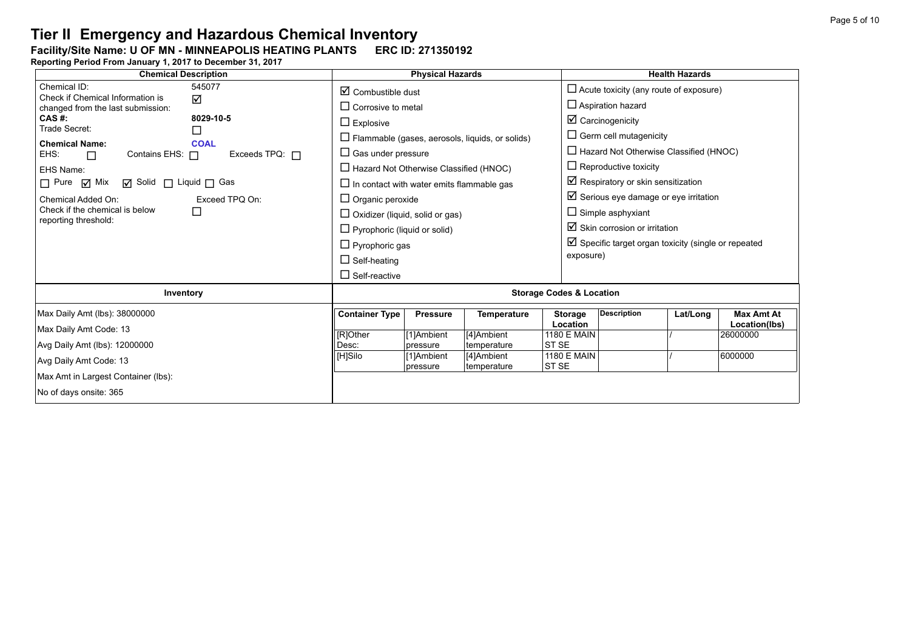### Facility/Site Name: U OF MN - MINNEAPOLIS HEATING PLANTS **-----------------------**

| <b>Chemical Description</b>                                                                                                                                                                                                                                                                  | <b>Physical Hazards</b>                                                                                                                                                                                                                                                                    |                        |                           |                                        | <b>Health Hazards</b>                                                                                                                                                                                                                                                                                                         |          |                                    |  |
|----------------------------------------------------------------------------------------------------------------------------------------------------------------------------------------------------------------------------------------------------------------------------------------------|--------------------------------------------------------------------------------------------------------------------------------------------------------------------------------------------------------------------------------------------------------------------------------------------|------------------------|---------------------------|----------------------------------------|-------------------------------------------------------------------------------------------------------------------------------------------------------------------------------------------------------------------------------------------------------------------------------------------------------------------------------|----------|------------------------------------|--|
| 545077<br>Chemical ID:<br>Check if Chemical Information is<br>☑<br>changed from the last submission:                                                                                                                                                                                         | $\boxtimes$ Combustible dust<br>$\Box$ Corrosive to metal                                                                                                                                                                                                                                  |                        |                           |                                        | $\Box$ Acute toxicity (any route of exposure)<br>$\Box$ Aspiration hazard                                                                                                                                                                                                                                                     |          |                                    |  |
| CAS #:<br>8029-10-5<br>Trade Secret:<br>⊔                                                                                                                                                                                                                                                    | $\Box$ Explosive<br>$\Box$ Flammable (gases, aerosols, liquids, or solids)                                                                                                                                                                                                                 |                        |                           |                                        | $\boxtimes$ Carcinogenicity<br>$\Box$ Germ cell mutagenicity                                                                                                                                                                                                                                                                  |          |                                    |  |
| <b>Chemical Name:</b><br><b>COAL</b><br>Exceeds TPQ: $\Box$<br>EHS:<br>Contains EHS: $\Box$<br>$\Box$<br>EHS Name:<br>$\Box$ Pure $\Box$ Mix<br>$\Box$ Solid $\Box$ Liquid $\Box$ Gas<br>Exceed TPQ On:<br>Chemical Added On:<br>Check if the chemical is below<br>□<br>reporting threshold: | $\Box$ Gas under pressure<br>$\Box$ Hazard Not Otherwise Classified (HNOC)<br>$\Box$ In contact with water emits flammable gas<br>$\Box$ Organic peroxide<br>$\Box$ Oxidizer (liquid, solid or gas)<br>$\Box$ Pyrophoric (liquid or solid)<br>$\Box$ Pyrophoric gas<br>$\Box$ Self-heating |                        |                           |                                        | $\Box$ Hazard Not Otherwise Classified (HNOC)<br>$\Box$ Reproductive toxicity<br>Respiratory or skin sensitization<br>$\boxtimes$ Serious eye damage or eye irritation<br>$\Box$ Simple asphyxiant<br>$\boxtimes$ Skin corrosion or irritation<br>$\boxtimes$ Specific target organ toxicity (single or repeated<br>exposure) |          |                                    |  |
|                                                                                                                                                                                                                                                                                              | $\Box$ Self-reactive                                                                                                                                                                                                                                                                       |                        |                           |                                        |                                                                                                                                                                                                                                                                                                                               |          |                                    |  |
| Inventory                                                                                                                                                                                                                                                                                    | <b>Storage Codes &amp; Location</b>                                                                                                                                                                                                                                                        |                        |                           |                                        |                                                                                                                                                                                                                                                                                                                               |          |                                    |  |
| Max Daily Amt (lbs): 38000000<br>Max Daily Amt Code: 13                                                                                                                                                                                                                                      | <b>Container Type</b>                                                                                                                                                                                                                                                                      | <b>Pressure</b>        | <b>Temperature</b>        | <b>Storage</b><br>Location             | <b>Description</b>                                                                                                                                                                                                                                                                                                            | Lat/Long | <b>Max Amt At</b><br>Location(lbs) |  |
| Avg Daily Amt (lbs): 12000000                                                                                                                                                                                                                                                                | [R]Other<br>Desc:                                                                                                                                                                                                                                                                          | [1]Ambient<br>pressure | [4]Ambient<br>temperature | <b>1180 E MAIN</b><br>ST <sub>SE</sub> |                                                                                                                                                                                                                                                                                                                               |          | 26000000                           |  |
| Avg Daily Amt Code: 13                                                                                                                                                                                                                                                                       | [H]Silo                                                                                                                                                                                                                                                                                    | [1]Ambient<br>pressure | [4]Ambient<br>temperature | <b>1180 E MAIN</b><br>ST <sub>SE</sub> |                                                                                                                                                                                                                                                                                                                               |          | 6000000                            |  |
| Max Amt in Largest Container (lbs):<br>No of days onsite: 365                                                                                                                                                                                                                                |                                                                                                                                                                                                                                                                                            |                        |                           |                                        |                                                                                                                                                                                                                                                                                                                               |          |                                    |  |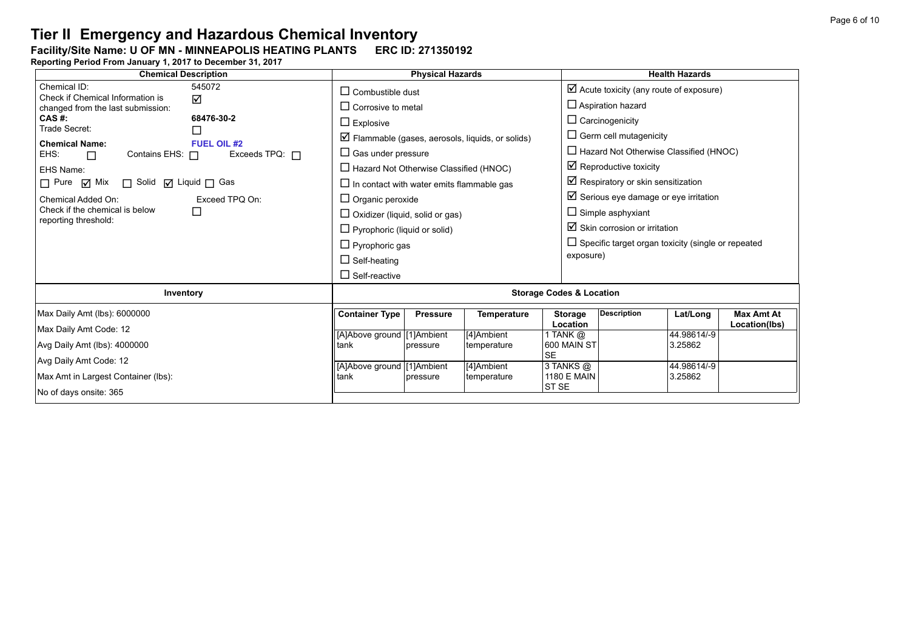### Facility/Site Name: U OF MN - MINNEAPOLIS HEATING PLANTS **-----------------------**

| <b>Chemical Description</b>                                     | <b>Physical Hazards</b>                   |                                                  |                 |                                                                  | <b>Health Hazards</b>                              |                                                           |                        |                   |  |
|-----------------------------------------------------------------|-------------------------------------------|--------------------------------------------------|-----------------|------------------------------------------------------------------|----------------------------------------------------|-----------------------------------------------------------|------------------------|-------------------|--|
| Chemical ID:<br>Check if Chemical Information is                | $\Box$ Combustible dust                   |                                                  |                 |                                                                  | $\boxtimes$ Acute toxicity (any route of exposure) |                                                           |                        |                   |  |
| changed from the last submission:                               | ☑                                         | $\Box$ Corrosive to metal                        |                 |                                                                  |                                                    | $\Box$ Aspiration hazard                                  |                        |                   |  |
| CAS #:<br>Trade Secret:                                         | 68476-30-2                                | $\Box$ Explosive                                 |                 |                                                                  |                                                    | $\Box$ Carcinogenicity                                    |                        |                   |  |
|                                                                 | ⊔                                         |                                                  |                 | $\triangleright$ Flammable (gases, aerosols, liquids, or solids) |                                                    | $\Box$ Germ cell mutagenicity                             |                        |                   |  |
| <b>Chemical Name:</b><br>EHS:<br>Contains EHS: $\Box$<br>$\Box$ | <b>FUEL OIL #2</b><br>Exceeds TPQ: $\Box$ | $\Box$ Gas under pressure                        |                 |                                                                  |                                                    | $\Box$ Hazard Not Otherwise Classified (HNOC)             |                        |                   |  |
| EHS Name:                                                       |                                           | $\Box$ Hazard Not Otherwise Classified (HNOC)    |                 |                                                                  |                                                    | $\boxtimes$ Reproductive toxicity                         |                        |                   |  |
| $\Box$ Pure $\Box$ Mix<br>$\Box$ Solid $\Box$ Liquid $\Box$ Gas |                                           | $\Box$ In contact with water emits flammable gas |                 |                                                                  |                                                    | $\boxtimes$ Respiratory or skin sensitization             |                        |                   |  |
| Chemical Added On:                                              | Exceed TPQ On:                            | $\Box$ Organic peroxide                          |                 |                                                                  |                                                    | $\boxtimes$ Serious eye damage or eye irritation          |                        |                   |  |
| Check if the chemical is below                                  | □                                         | $\Box$ Oxidizer (liquid, solid or gas)           |                 |                                                                  |                                                    | $\Box$ Simple asphyxiant                                  |                        |                   |  |
| reporting threshold:                                            |                                           | $\Box$ Pyrophoric (liquid or solid)              |                 |                                                                  |                                                    | $\boxtimes$ Skin corrosion or irritation                  |                        |                   |  |
|                                                                 |                                           | $\Box$ Pyrophoric gas                            |                 |                                                                  |                                                    | $\Box$ Specific target organ toxicity (single or repeated |                        |                   |  |
|                                                                 |                                           | $\Box$ Self-heating                              |                 |                                                                  |                                                    | exposure)                                                 |                        |                   |  |
|                                                                 |                                           | $\Box$ Self-reactive                             |                 |                                                                  |                                                    |                                                           |                        |                   |  |
| Inventory                                                       |                                           | <b>Storage Codes &amp; Location</b>              |                 |                                                                  |                                                    |                                                           |                        |                   |  |
| Max Daily Amt (lbs): 6000000                                    |                                           | <b>Container Type</b>                            | <b>Pressure</b> | <b>Temperature</b>                                               | <b>Storage</b>                                     | <b>Description</b>                                        | Lat/Long               | <b>Max Amt At</b> |  |
| Max Daily Amt Code: 12                                          |                                           |                                                  |                 |                                                                  | Location                                           |                                                           |                        | Location(lbs)     |  |
| Avg Daily Amt (lbs): 4000000                                    |                                           | [A]Above ground [1]Ambient<br>tank               | pressure        | [4]Ambient<br>temperature                                        | 1 TANK $@$<br>600 MAIN ST                          |                                                           | 44.98614/-9<br>3.25862 |                   |  |
| Avg Daily Amt Code: 12                                          |                                           |                                                  |                 |                                                                  | <b>SE</b>                                          |                                                           |                        |                   |  |
|                                                                 |                                           | [A]Above ground [1]Ambient                       |                 | [4]Ambient                                                       | 3 TANKS @                                          |                                                           | 44.98614/-9            |                   |  |
| Max Amt in Largest Container (lbs):                             | tank                                      | pressure                                         | temperature     | <b>1180 E MAIN</b><br>ST <sub>SE</sub>                           |                                                    | 3.25862                                                   |                        |                   |  |
| No of days onsite: 365                                          |                                           |                                                  |                 |                                                                  |                                                    |                                                           |                        |                   |  |
|                                                                 |                                           |                                                  |                 |                                                                  |                                                    |                                                           |                        |                   |  |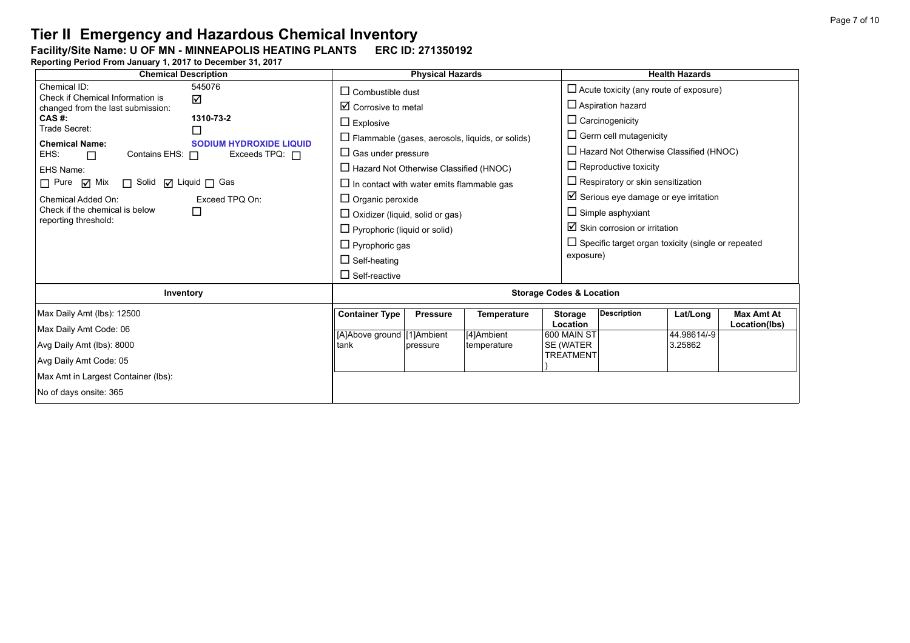### Facility/Site Name: U OF MN - MINNEAPOLIS HEATING PLANTS **-----------------------**

| <b>Chemical Description</b>                                                                                                                                                                                                                                                                                                                    | <b>Physical Hazards</b>                                                                                                                                                                                         |                             |                                                        |                                                                                   | <b>Health Hazards</b>                                                                                                                                                                                                                                             |                                    |                                    |  |
|------------------------------------------------------------------------------------------------------------------------------------------------------------------------------------------------------------------------------------------------------------------------------------------------------------------------------------------------|-----------------------------------------------------------------------------------------------------------------------------------------------------------------------------------------------------------------|-----------------------------|--------------------------------------------------------|-----------------------------------------------------------------------------------|-------------------------------------------------------------------------------------------------------------------------------------------------------------------------------------------------------------------------------------------------------------------|------------------------------------|------------------------------------|--|
| Chemical ID:<br>545076<br>Check if Chemical Information is<br>☑<br>changed from the last submission:<br>CAS #:<br>1310-73-2<br>Trade Secret:<br>П<br><b>Chemical Name:</b><br><b>SODIUM HYDROXIDE LIQUID</b><br>EHS:<br>Contains EHS: $\Box$<br>Exceeds $TPQ: \Box$<br>$\Box$<br>EHS Name:<br>□ Solid □ Liquid □ Gas<br>$\Box$ Pure $\Box$ Mix | $\Box$ Combustible dust<br>$\boxtimes$ Corrosive to metal<br>$\Box$ Explosive<br>$\Box$ Gas under pressure<br>$\Box$ Hazard Not Otherwise Classified (HNOC)<br>$\Box$ In contact with water emits flammable gas |                             | $\Box$ Flammable (gases, aerosols, liquids, or solids) |                                                                                   | $\Box$ Acute toxicity (any route of exposure)<br>$\Box$ Aspiration hazard<br>$\Box$ Carcinogenicity<br>$\Box$ Germ cell mutagenicity<br>$\Box$ Hazard Not Otherwise Classified (HNOC)<br>$\Box$ Reproductive toxicity<br>$\Box$ Respiratory or skin sensitization |                                    |                                    |  |
| Exceed TPQ On:<br>Chemical Added On:<br>Check if the chemical is below<br>□<br>reporting threshold:                                                                                                                                                                                                                                            | $\Box$ Organic peroxide<br>$\Box$ Oxidizer (liquid, solid or gas)<br>$\Box$ Pyrophoric (liquid or solid)<br>$\Box$ Pyrophoric gas<br>$\Box$ Self-heating<br>$\Box$ Self-reactive                                |                             |                                                        |                                                                                   | $\boxtimes$ Serious eye damage or eye irritation<br>$\Box$ Simple asphyxiant<br>$\boxtimes$ Skin corrosion or irritation<br>$\Box$ Specific target organ toxicity (single or repeated<br>exposure)                                                                |                                    |                                    |  |
| Inventory                                                                                                                                                                                                                                                                                                                                      | <b>Storage Codes &amp; Location</b>                                                                                                                                                                             |                             |                                                        |                                                                                   |                                                                                                                                                                                                                                                                   |                                    |                                    |  |
| Max Daily Amt (lbs): 12500<br>Max Daily Amt Code: 06<br>Avg Daily Amt (lbs): 8000<br>Avg Daily Amt Code: 05<br>Max Amt in Largest Container (lbs):<br>No of days onsite: 365                                                                                                                                                                   | <b>Container Type</b><br>[A]Above ground [1]Ambient<br>tank                                                                                                                                                     | <b>Pressure</b><br>pressure | <b>Temperature</b><br>[4]Ambient<br>temperature        | <b>Storage</b><br>Location<br>600 MAIN ST<br><b>SE (WATER</b><br><b>TREATMENT</b> | <b>Description</b>                                                                                                                                                                                                                                                | Lat/Long<br>44.98614/-9<br>3.25862 | <b>Max Amt At</b><br>Location(lbs) |  |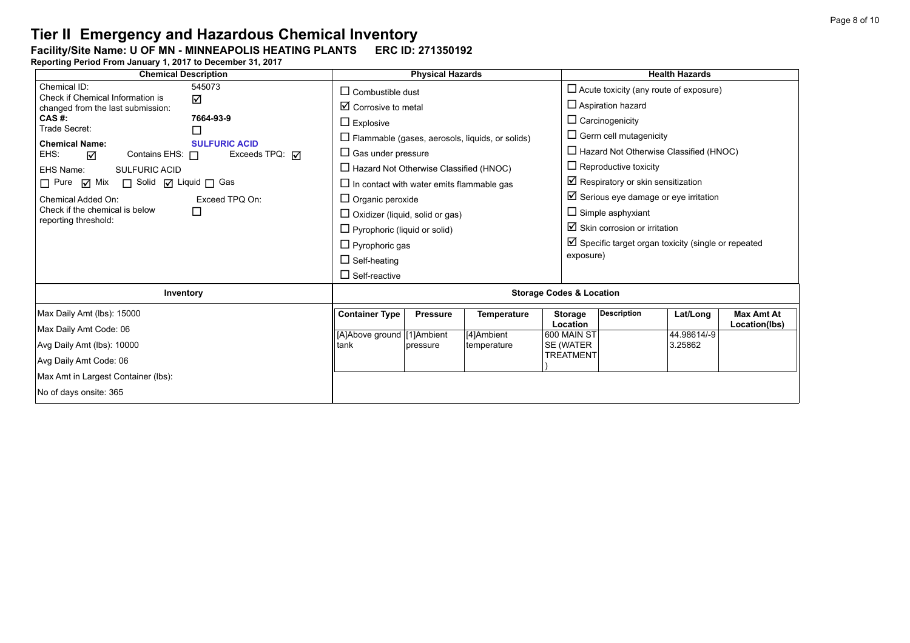#### Facility/Site Name: U OF MN - MINNEAPOLIS HEATING PLANTS **-----------------------**

| <b>Chemical Description</b>                                                                                                                                                                                                                                                                                                 | <b>Physical Hazards</b>                                                                                                                                                                                                                                                                                                                                                         | <b>Health Hazards</b>                                                                                                                                                                                                                                                                                                                                          |  |  |  |  |
|-----------------------------------------------------------------------------------------------------------------------------------------------------------------------------------------------------------------------------------------------------------------------------------------------------------------------------|---------------------------------------------------------------------------------------------------------------------------------------------------------------------------------------------------------------------------------------------------------------------------------------------------------------------------------------------------------------------------------|----------------------------------------------------------------------------------------------------------------------------------------------------------------------------------------------------------------------------------------------------------------------------------------------------------------------------------------------------------------|--|--|--|--|
| Chemical ID:<br>545073<br>Check if Chemical Information is<br>☑<br>changed from the last submission:<br>$CAS$ #:<br>7664-93-9                                                                                                                                                                                               | $\Box$ Combustible dust<br>$\boxtimes$ Corrosive to metal<br>$\Box$ Explosive                                                                                                                                                                                                                                                                                                   | $\Box$ Acute toxicity (any route of exposure)<br>$\Box$ Aspiration hazard<br>$\Box$ Carcinogenicity                                                                                                                                                                                                                                                            |  |  |  |  |
| Trade Secret:<br>$\Box$<br><b>Chemical Name:</b><br><b>SULFURIC ACID</b><br>EHS:<br>Exceeds TPQ: $\sqrt{ }$<br>Contains EHS: $\Box$<br>☑<br>EHS Name:<br><b>SULFURIC ACID</b><br>□ Pure Ø Mix □ Solid Ø Liquid □ Gas<br>Exceed TPQ On:<br>Chemical Added On:<br>Check if the chemical is below<br>□<br>reporting threshold: | $\Box$ Flammable (gases, aerosols, liquids, or solids)<br>$\Box$ Gas under pressure<br>$\Box$ Hazard Not Otherwise Classified (HNOC)<br>$\Box$ In contact with water emits flammable gas<br>$\square$ Organic peroxide<br>$\Box$ Oxidizer (liquid, solid or gas)<br>$\Box$ Pyrophoric (liquid or solid)<br>$\Box$ Pyrophoric gas<br>$\Box$ Self-heating<br>$\Box$ Self-reactive | $\Box$ Germ cell mutagenicity<br>$\Box$ Hazard Not Otherwise Classified (HNOC)<br>$\Box$ Reproductive toxicity<br>Respiratory or skin sensitization<br>$\boxtimes$ Serious eye damage or eye irritation<br>$\Box$ Simple asphyxiant<br>$\boxtimes$ Skin corrosion or irritation<br>$\boxtimes$ Specific target organ toxicity (single or repeated<br>exposure) |  |  |  |  |
| Inventory                                                                                                                                                                                                                                                                                                                   | <b>Storage Codes &amp; Location</b>                                                                                                                                                                                                                                                                                                                                             |                                                                                                                                                                                                                                                                                                                                                                |  |  |  |  |
| Max Daily Amt (lbs): 15000<br>Max Daily Amt Code: 06<br>Avg Daily Amt (lbs): 10000<br>Avg Daily Amt Code: 06<br>Max Amt in Largest Container (lbs):<br>No of days onsite: 365                                                                                                                                               | <b>Container Type</b><br><b>Pressure</b><br><b>Temperature</b><br>[A]Above ground [1]Ambient<br>[4]Ambient<br>tank<br>temperature<br>pressure                                                                                                                                                                                                                                   | <b>Description</b><br><b>Max Amt At</b><br><b>Storage</b><br>Lat/Long<br>Location<br>Location(lbs)<br>600 MAIN ST<br>44.98614/-9<br>SE (WATER<br>3.25862<br><b>TREATMENT</b>                                                                                                                                                                                   |  |  |  |  |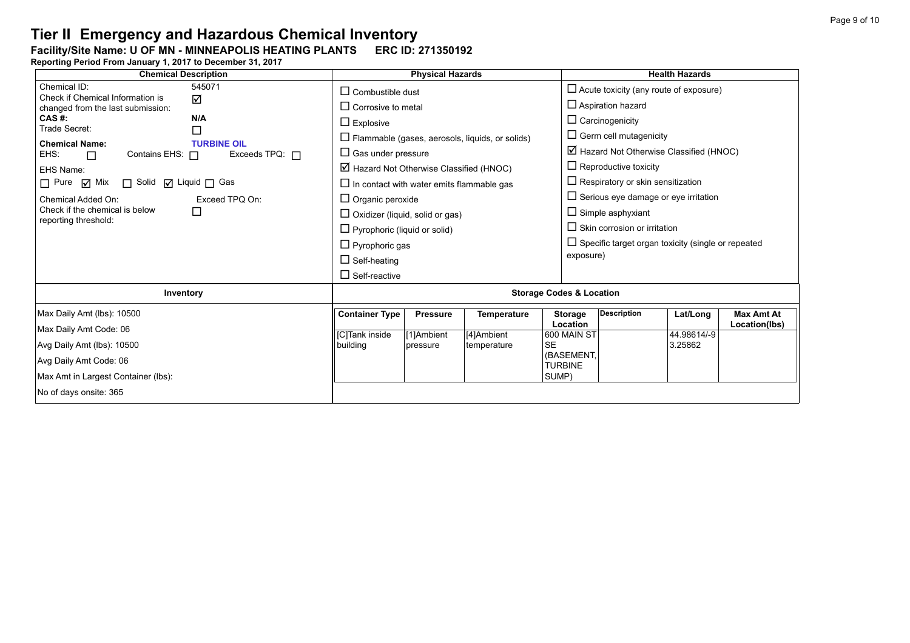### Facility/Site Name: U OF MN - MINNEAPOLIS HEATING PLANTS **-----------------------**

| <b>Chemical Description</b>                                                                                                                                                                                                                                                                                                 | <b>Physical Hazards</b>                                                                                                                                                                                                                                                                                                                                                                               |                                           |                                                 |                                                                                                 | <b>Health Hazards</b>                                                                                                                                                                                                                                                                                                                                                                 |                                    |                                    |  |
|-----------------------------------------------------------------------------------------------------------------------------------------------------------------------------------------------------------------------------------------------------------------------------------------------------------------------------|-------------------------------------------------------------------------------------------------------------------------------------------------------------------------------------------------------------------------------------------------------------------------------------------------------------------------------------------------------------------------------------------------------|-------------------------------------------|-------------------------------------------------|-------------------------------------------------------------------------------------------------|---------------------------------------------------------------------------------------------------------------------------------------------------------------------------------------------------------------------------------------------------------------------------------------------------------------------------------------------------------------------------------------|------------------------------------|------------------------------------|--|
| Chemical ID:<br>545071<br>Check if Chemical Information is<br>☑<br>changed from the last submission:                                                                                                                                                                                                                        | $\Box$ Combustible dust<br>$\Box$ Corrosive to metal                                                                                                                                                                                                                                                                                                                                                  |                                           |                                                 |                                                                                                 | $\Box$ Acute toxicity (any route of exposure)<br>$\Box$ Aspiration hazard                                                                                                                                                                                                                                                                                                             |                                    |                                    |  |
| CAS #:<br>N/A<br>Trade Secret:<br>□<br><b>Chemical Name:</b><br><b>TURBINE OIL</b><br>EHS:<br>Exceeds TPQ: $\Box$<br>Contains EHS: $\Box$<br>$\Box$<br>EHS Name:<br>□ Solid □ Liquid □ Gas<br>$\Box$ Pure $\Box$ Mix<br>Exceed TPQ On:<br>Chemical Added On:<br>Check if the chemical is below<br>□<br>reporting threshold: | $\Box$ Explosive<br>$\Box$ Flammable (gases, aerosols, liquids, or solids)<br>$\Box$ Gas under pressure<br>$\boxtimes$ Hazard Not Otherwise Classified (HNOC)<br>$\Box$ In contact with water emits flammable gas<br>$\Box$ Organic peroxide<br>$\Box$ Oxidizer (liquid, solid or gas)<br>$\Box$ Pyrophoric (liquid or solid)<br>$\Box$ Pyrophoric gas<br>$\Box$ Self-heating<br>$\Box$ Self-reactive |                                           |                                                 |                                                                                                 | $\Box$ Carcinogenicity<br>$\Box$ Germ cell mutagenicity<br>$\boxtimes$ Hazard Not Otherwise Classified (HNOC)<br>$\Box$ Reproductive toxicity<br>$\Box$ Respiratory or skin sensitization<br>$\Box$ Serious eye damage or eye irritation<br>$\Box$ Simple asphyxiant<br>$\Box$ Skin corrosion or irritation<br>$\Box$ Specific target organ toxicity (single or repeated<br>exposure) |                                    |                                    |  |
| Inventory                                                                                                                                                                                                                                                                                                                   | <b>Storage Codes &amp; Location</b>                                                                                                                                                                                                                                                                                                                                                                   |                                           |                                                 |                                                                                                 |                                                                                                                                                                                                                                                                                                                                                                                       |                                    |                                    |  |
| Max Daily Amt (lbs): 10500<br>Max Daily Amt Code: 06<br>Avg Daily Amt (lbs): 10500<br>Avg Daily Amt Code: 06<br>Max Amt in Largest Container (lbs):<br>No of days onsite: 365                                                                                                                                               | <b>Container Type</b><br>[C]Tank inside<br>building                                                                                                                                                                                                                                                                                                                                                   | <b>Pressure</b><br>[1]Ambient<br>pressure | <b>Temperature</b><br>[4]Ambient<br>temperature | <b>Storage</b><br>Location<br>600 MAIN ST<br><b>SE</b><br>(BASEMENT,<br><b>TURBINE</b><br>SUMP) | <b>Description</b>                                                                                                                                                                                                                                                                                                                                                                    | Lat/Long<br>44.98614/-9<br>3.25862 | <b>Max Amt At</b><br>Location(lbs) |  |